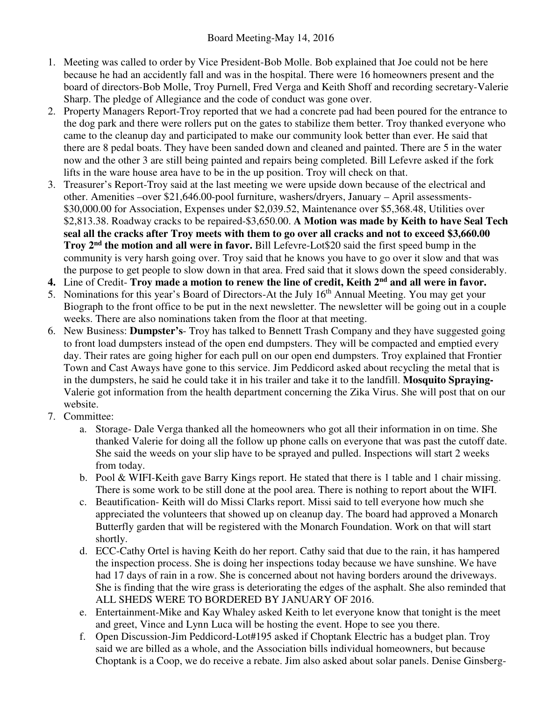- 1. Meeting was called to order by Vice President-Bob Molle. Bob explained that Joe could not be here because he had an accidently fall and was in the hospital. There were 16 homeowners present and the board of directors-Bob Molle, Troy Purnell, Fred Verga and Keith Shoff and recording secretary-Valerie Sharp. The pledge of Allegiance and the code of conduct was gone over.
- 2. Property Managers Report-Troy reported that we had a concrete pad had been poured for the entrance to the dog park and there were rollers put on the gates to stabilize them better. Troy thanked everyone who came to the cleanup day and participated to make our community look better than ever. He said that there are 8 pedal boats. They have been sanded down and cleaned and painted. There are 5 in the water now and the other 3 are still being painted and repairs being completed. Bill Lefevre asked if the fork lifts in the ware house area have to be in the up position. Troy will check on that.
- 3. Treasurer's Report-Troy said at the last meeting we were upside down because of the electrical and other. Amenities –over \$21,646.00-pool furniture, washers/dryers, January – April assessments- \$30,000.00 for Association, Expenses under \$2,039.52, Maintenance over \$5,368.48, Utilities over \$2,813.38. Roadway cracks to be repaired-\$3,650.00. **A Motion was made by Keith to have Seal Tech seal all the cracks after Troy meets with them to go over all cracks and not to exceed \$3,660.00 Troy 2nd the motion and all were in favor.** Bill Lefevre-Lot\$20 said the first speed bump in the community is very harsh going over. Troy said that he knows you have to go over it slow and that was the purpose to get people to slow down in that area. Fred said that it slows down the speed considerably.
- **4.** Line of Credit- **Troy made a motion to renew the line of credit, Keith 2nd and all were in favor.**
- 5. Nominations for this year's Board of Directors-At the July 16<sup>th</sup> Annual Meeting. You may get your Biograph to the front office to be put in the next newsletter. The newsletter will be going out in a couple weeks. There are also nominations taken from the floor at that meeting.
- 6. New Business: **Dumpster's** Troy has talked to Bennett Trash Company and they have suggested going to front load dumpsters instead of the open end dumpsters. They will be compacted and emptied every day. Their rates are going higher for each pull on our open end dumpsters. Troy explained that Frontier Town and Cast Aways have gone to this service. Jim Peddicord asked about recycling the metal that is in the dumpsters, he said he could take it in his trailer and take it to the landfill. **Mosquito Spraying-**Valerie got information from the health department concerning the Zika Virus. She will post that on our website.
- 7. Committee:
	- a. Storage- Dale Verga thanked all the homeowners who got all their information in on time. She thanked Valerie for doing all the follow up phone calls on everyone that was past the cutoff date. She said the weeds on your slip have to be sprayed and pulled. Inspections will start 2 weeks from today.
	- b. Pool & WIFI-Keith gave Barry Kings report. He stated that there is 1 table and 1 chair missing. There is some work to be still done at the pool area. There is nothing to report about the WIFI.
	- c. Beautification- Keith will do Missi Clarks report. Missi said to tell everyone how much she appreciated the volunteers that showed up on cleanup day. The board had approved a Monarch Butterfly garden that will be registered with the Monarch Foundation. Work on that will start shortly.
	- d. ECC-Cathy Ortel is having Keith do her report. Cathy said that due to the rain, it has hampered the inspection process. She is doing her inspections today because we have sunshine. We have had 17 days of rain in a row. She is concerned about not having borders around the driveways. She is finding that the wire grass is deteriorating the edges of the asphalt. She also reminded that ALL SHEDS WERE TO BORDERED BY JANUARY OF 2016.
	- e. Entertainment-Mike and Kay Whaley asked Keith to let everyone know that tonight is the meet and greet, Vince and Lynn Luca will be hosting the event. Hope to see you there.
	- f. Open Discussion-Jim Peddicord-Lot#195 asked if Choptank Electric has a budget plan. Troy said we are billed as a whole, and the Association bills individual homeowners, but because Choptank is a Coop, we do receive a rebate. Jim also asked about solar panels. Denise Ginsberg-